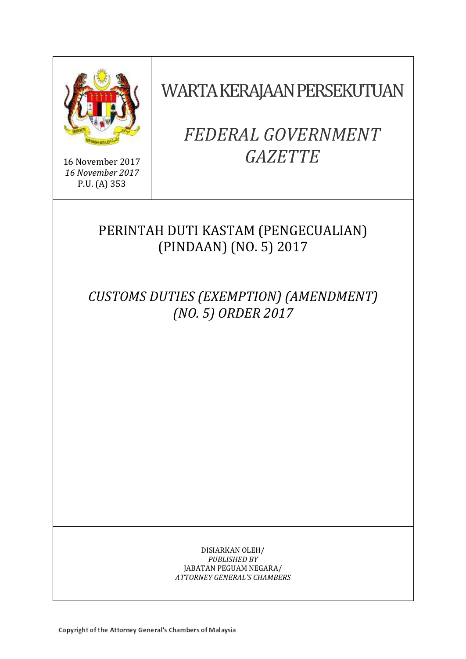

16 November 2017 *16 November 2017* P.U. (A) 353

WARTA KERAJAAN PERSEKUTUAN

# *FEDERAL GOVERNMENT GAZETTE*

# PERINTAH DUTI KASTAM (PENGECUALIAN) (PINDAAN) (NO. 5) 2017

*CUSTOMS DUTIES (EXEMPTION) (AMENDMENT) (NO. 5) ORDER 2017*

> DISIARKAN OLEH/ *PUBLISHED BY* JABATAN PEGUAM NEGARA/ *ATTORNEY GENERAL'S CHAMBERS*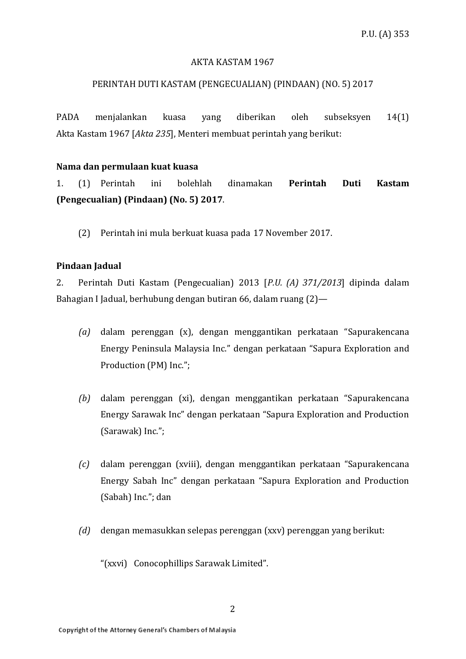# AKTA KASTAM 1967

# PERINTAH DUTI KASTAM (PENGECUALIAN) (PINDAAN) (NO. 5) 2017

PADA menjalankan kuasa yang diberikan oleh subseksyen 14(1) Akta Kastam 1967 [*Akta 235*], Menteri membuat perintah yang berikut:

# **Nama dan permulaan kuat kuasa**

1. (1) Perintah ini bolehlah dinamakan **Perintah Duti Kastam (Pengecualian) (Pindaan) (No. 5) 2017**.

(2) Perintah ini mula berkuat kuasa pada 17 November 2017.

#### **Pindaan Jadual**

2. Perintah Duti Kastam (Pengecualian) 2013 [*P.U. (A) 371/2013*] dipinda dalam Bahagian I Jadual, berhubung dengan butiran 66, dalam ruang (2)—

- *(a)* dalam perenggan (x), dengan menggantikan perkataan "Sapurakencana Energy Peninsula Malaysia Inc." dengan perkataan "Sapura Exploration and Production (PM) Inc.";
- *(b)* dalam perenggan (xi), dengan menggantikan perkataan "Sapurakencana Energy Sarawak Inc" dengan perkataan "Sapura Exploration and Production (Sarawak) Inc.";
- *(c)* dalam perenggan (xviii), dengan menggantikan perkataan "Sapurakencana Energy Sabah Inc" dengan perkataan "Sapura Exploration and Production (Sabah) Inc."; dan
- *(d)* dengan memasukkan selepas perenggan (xxv) perenggan yang berikut:

"(xxvi) Conocophillips Sarawak Limited".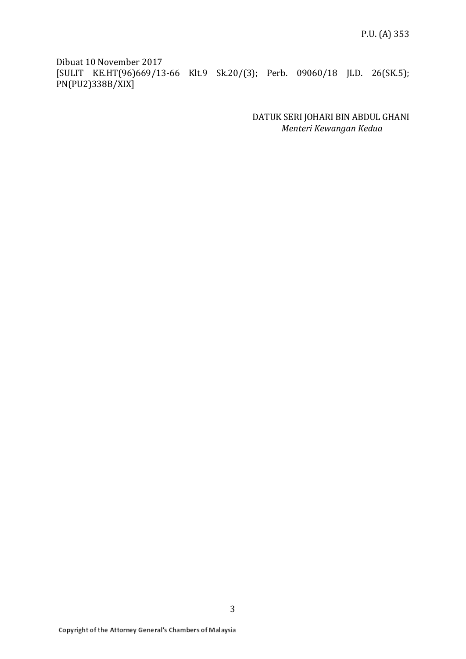Dibuat 10 November 2017 [SULIT KE.HT(96)669/13-66 Klt.9 Sk.20/(3); Perb. 09060/18 JLD. 26(SK.5); PN(PU2)338B/XIX]

> DATUK SERI JOHARI BIN ABDUL GHANI *Menteri Kewangan Kedua*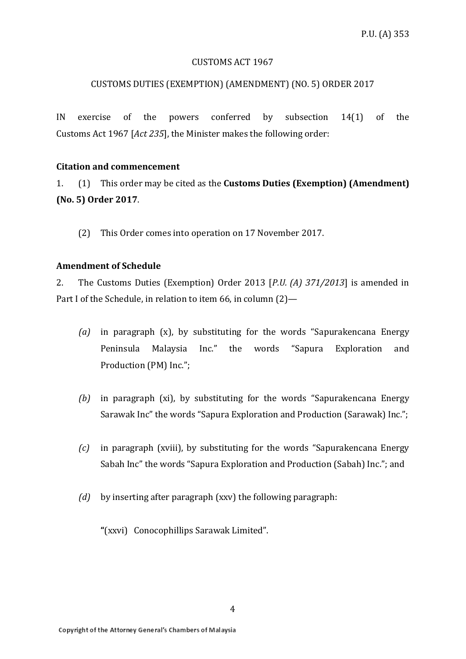#### CUSTOMS ACT 1967

# CUSTOMS DUTIES (EXEMPTION) (AMENDMENT) (NO. 5) ORDER 2017

IN exercise of the powers conferred by subsection 14(1) of the Customs Act 1967 [*Act 235*], the Minister makes the following order:

#### **Citation and commencement**

1. (1) This order may be cited as the **Customs Duties (Exemption) (Amendment) (No. 5) Order 2017**.

(2) This Order comes into operation on 17 November 2017.

# **Amendment of Schedule**

2. The Customs Duties (Exemption) Order 2013 [*P.U. (A) 371/2013*] is amended in Part I of the Schedule, in relation to item 66, in column (2)—

- *(a)* in paragraph (x), by substituting for the words "Sapurakencana Energy Peninsula Malaysia Inc." the words "Sapura Exploration and Production (PM) Inc.";
- *(b)* in paragraph (xi), by substituting for the words "Sapurakencana Energy Sarawak Inc" the words "Sapura Exploration and Production (Sarawak) Inc.";
- *(c)* in paragraph (xviii), by substituting for the words "Sapurakencana Energy Sabah Inc" the words "Sapura Exploration and Production (Sabah) Inc."; and
- *(d)* by inserting after paragraph (xxv) the following paragraph:

**"**(xxvi) Conocophillips Sarawak Limited".